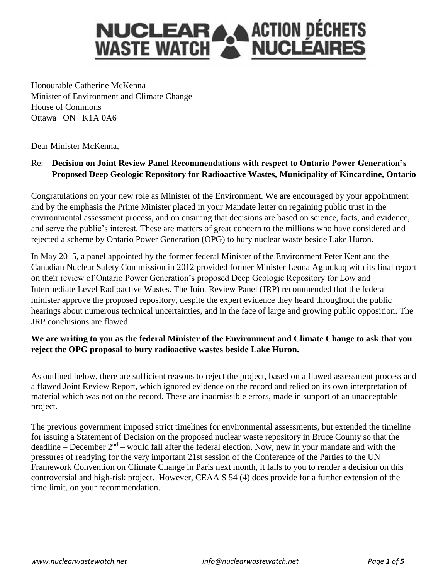# **NUCLEARA ACTION DÉCHETS<br>WASTE WATCH AND NUCLÉAIRES**

Honourable Catherine McKenna Minister of Environment and Climate Change House of Commons Ottawa ON K1A 0A6

Dear Minister McKenna,

# Re: **Decision on Joint Review Panel Recommendations with respect to Ontario Power Generation's Proposed Deep Geologic Repository for Radioactive Wastes, Municipality of Kincardine, Ontario**

Congratulations on your new role as Minister of the Environment. We are encouraged by your appointment and by the emphasis the Prime Minister placed in your Mandate letter on regaining public trust in the environmental assessment process, and on ensuring that decisions are based on science, facts, and evidence, and serve the public's interest. These are matters of great concern to the millions who have considered and rejected a scheme by Ontario Power Generation (OPG) to bury nuclear waste beside Lake Huron.

In May 2015, a panel appointed by the former federal Minister of the Environment Peter Kent and the Canadian Nuclear Safety Commission in 2012 provided former Minister Leona Agluukaq with its final report on their review of Ontario Power Generation's proposed Deep Geologic Repository for Low and Intermediate Level Radioactive Wastes. The Joint Review Panel (JRP) recommended that the federal minister approve the proposed repository, despite the expert evidence they heard throughout the public hearings about numerous technical uncertainties, and in the face of large and growing public opposition. The JRP conclusions are flawed.

## **We are writing to you as the federal Minister of the Environment and Climate Change to ask that you reject the OPG proposal to bury radioactive wastes beside Lake Huron.**

As outlined below, there are sufficient reasons to reject the project, based on a flawed assessment process and a flawed Joint Review Report, which ignored evidence on the record and relied on its own interpretation of material which was not on the record. These are inadmissible errors, made in support of an unacceptable project.

The previous government imposed strict timelines for environmental assessments, but extended the timeline for issuing a Statement of Decision on the proposed nuclear waste repository in Bruce County so that the deadline – December  $2<sup>nd</sup>$  – would fall after the federal election. Now, new in your mandate and with the pressures of readying for the very important 21st session of the Conference of the Parties to the UN Framework Convention on Climate Change in Paris next month, it falls to you to render a decision on this controversial and high-risk project. However, CEAA S 54 (4) does provide for a further extension of the time limit, on your recommendation.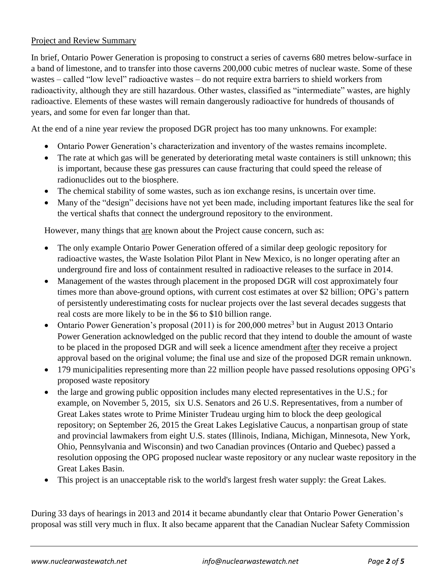### Project and Review Summary

In brief, Ontario Power Generation is proposing to construct a series of caverns 680 metres below-surface in a band of limestone, and to transfer into those caverns 200,000 cubic metres of nuclear waste. Some of these wastes – called "low level" radioactive wastes – do not require extra barriers to shield workers from radioactivity, although they are still hazardous. Other wastes, classified as "intermediate" wastes, are highly radioactive. Elements of these wastes will remain dangerously radioactive for hundreds of thousands of years, and some for even far longer than that.

At the end of a nine year review the proposed DGR project has too many unknowns. For example:

- Ontario Power Generation's characterization and inventory of the wastes remains incomplete.
- The rate at which gas will be generated by deteriorating metal waste containers is still unknown; this is important, because these gas pressures can cause fracturing that could speed the release of radionuclides out to the biosphere.
- The chemical stability of some wastes, such as ion exchange resins, is uncertain over time.
- Many of the "design" decisions have not yet been made, including important features like the seal for the vertical shafts that connect the underground repository to the environment.

However, many things that are known about the Project cause concern, such as:

- The only example Ontario Power Generation offered of a similar deep geologic repository for radioactive wastes, the Waste Isolation Pilot Plant in New Mexico, is no longer operating after an underground fire and loss of containment resulted in radioactive releases to the surface in 2014.
- Management of the wastes through placement in the proposed DGR will cost approximately four times more than above-ground options, with current cost estimates at over \$2 billion; OPG's pattern of persistently underestimating costs for nuclear projects over the last several decades suggests that real costs are more likely to be in the \$6 to \$10 billion range.
- Ontario Power Generation's proposal (2011) is for 200,000 metres<sup>3</sup> but in August 2013 Ontario Power Generation acknowledged on the public record that they intend to double the amount of waste to be placed in the proposed DGR and will seek a licence amendment after they receive a project approval based on the original volume; the final use and size of the proposed DGR remain unknown.
- 179 municipalities representing more than 22 million people have passed resolutions opposing OPG's proposed waste repository
- the large and growing public opposition includes many elected representatives in the U.S.; for example, on November 5, 2015, six U.S. Senators and 26 U.S. Representatives, from a number of Great Lakes states wrote to Prime Minister Trudeau urging him to block the deep geological repository; on September 26, 2015 the Great Lakes Legislative Caucus, a nonpartisan group of state and provincial lawmakers from eight U.S. states (Illinois, Indiana, Michigan, Minnesota, New York, Ohio, Pennsylvania and Wisconsin) and two Canadian provinces (Ontario and Quebec) passed a resolution opposing the OPG proposed nuclear waste repository or any nuclear waste repository in the Great Lakes Basin.
- This project is an unacceptable risk to the world's largest fresh water supply: the Great Lakes.

During 33 days of hearings in 2013 and 2014 it became abundantly clear that Ontario Power Generation's proposal was still very much in flux. It also became apparent that the Canadian Nuclear Safety Commission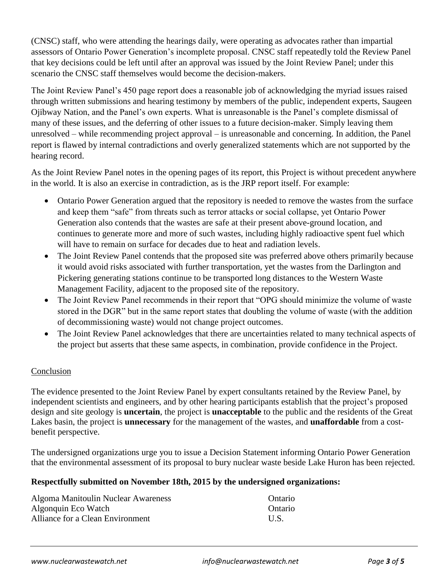(CNSC) staff, who were attending the hearings daily, were operating as advocates rather than impartial assessors of Ontario Power Generation's incomplete proposal. CNSC staff repeatedly told the Review Panel that key decisions could be left until after an approval was issued by the Joint Review Panel; under this scenario the CNSC staff themselves would become the decision-makers.

The Joint Review Panel's 450 page report does a reasonable job of acknowledging the myriad issues raised through written submissions and hearing testimony by members of the public, independent experts, Saugeen Ojibway Nation, and the Panel's own experts. What is unreasonable is the Panel's complete dismissal of many of these issues, and the deferring of other issues to a future decision-maker. Simply leaving them unresolved – while recommending project approval – is unreasonable and concerning. In addition, the Panel report is flawed by internal contradictions and overly generalized statements which are not supported by the hearing record.

As the Joint Review Panel notes in the opening pages of its report, this Project is without precedent anywhere in the world. It is also an exercise in contradiction, as is the JRP report itself. For example:

- Ontario Power Generation argued that the repository is needed to remove the wastes from the surface and keep them "safe" from threats such as terror attacks or social collapse, yet Ontario Power Generation also contends that the wastes are safe at their present above-ground location, and continues to generate more and more of such wastes, including highly radioactive spent fuel which will have to remain on surface for decades due to heat and radiation levels.
- The Joint Review Panel contends that the proposed site was preferred above others primarily because it would avoid risks associated with further transportation, yet the wastes from the Darlington and Pickering generating stations continue to be transported long distances to the Western Waste Management Facility, adjacent to the proposed site of the repository.
- The Joint Review Panel recommends in their report that "OPG should minimize the volume of waste stored in the DGR" but in the same report states that doubling the volume of waste (with the addition of decommissioning waste) would not change project outcomes.
- The Joint Review Panel acknowledges that there are uncertainties related to many technical aspects of the project but asserts that these same aspects, in combination, provide confidence in the Project.

### Conclusion

The evidence presented to the Joint Review Panel by expert consultants retained by the Review Panel, by independent scientists and engineers, and by other hearing participants establish that the project's proposed design and site geology is **uncertain**, the project is **unacceptable** to the public and the residents of the Great Lakes basin, the project is **unnecessary** for the management of the wastes, and **unaffordable** from a costbenefit perspective.

The undersigned organizations urge you to issue a Decision Statement informing Ontario Power Generation that the environmental assessment of its proposal to bury nuclear waste beside Lake Huron has been rejected.

### **Respectfully submitted on November 18th, 2015 by the undersigned organizations:**

| Algoma Manitoulin Nuclear Awareness | Ontario |
|-------------------------------------|---------|
| Algonquin Eco Watch                 | Ontario |
| Alliance for a Clean Environment    | U.S.    |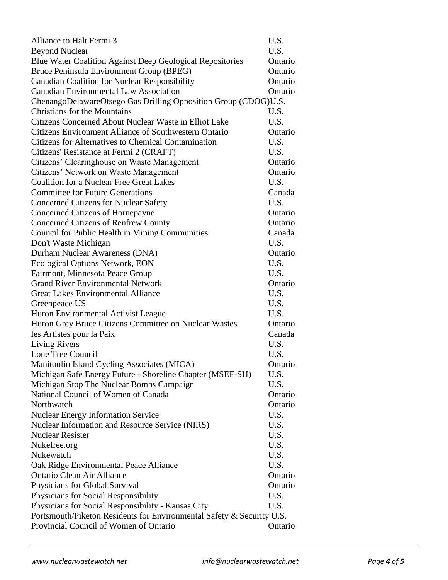| Alliance to Halt Fermi 3                                              | U.S.    |  |
|-----------------------------------------------------------------------|---------|--|
| <b>Beyond Nuclear</b>                                                 | U.S.    |  |
| Blue Water Coalition Against Deep Geological Repositories             | Ontario |  |
| Bruce Peninsula Environment Group (BPEG)                              | Ontario |  |
| <b>Canadian Coalition for Nuclear Responsibility</b>                  | Ontario |  |
| <b>Canadian Environmental Law Association</b>                         | Ontario |  |
| ChenangoDelawareOtsego Gas Drilling Opposition Group (CDOG)U.S.       |         |  |
| <b>Christians for the Mountains</b>                                   | U.S.    |  |
| Citizens Concerned About Nuclear Waste in Elliot Lake                 | U.S.    |  |
| Citizens Environment Alliance of Southwestern Ontario                 | Ontario |  |
| <b>Citizens for Alternatives to Chemical Contamination</b>            | U.S.    |  |
| Citizens' Resistance at Fermi 2 (CRAFT)                               | U.S.    |  |
| Citizens' Clearinghouse on Waste Management                           | Ontario |  |
| Citizens' Network on Waste Management                                 | Ontario |  |
| <b>Coalition for a Nuclear Free Great Lakes</b>                       | U.S.    |  |
| <b>Committee for Future Generations</b>                               | Canada  |  |
| <b>Concerned Citizens for Nuclear Safety</b>                          | U.S.    |  |
| Concerned Citizens of Hornepayne                                      | Ontario |  |
| <b>Concerned Citizens of Renfrew County</b>                           | Ontario |  |
| Council for Public Health in Mining Communities                       | Canada  |  |
| Don't Waste Michigan                                                  | U.S.    |  |
| Durham Nuclear Awareness (DNA)                                        | Ontario |  |
| <b>Ecological Options Network, EON</b>                                | U.S.    |  |
| Fairmont, Minnesota Peace Group                                       | U.S.    |  |
| <b>Grand River Environmental Network</b>                              | Ontario |  |
| <b>Great Lakes Environmental Alliance</b>                             | U.S.    |  |
| Greenpeace US                                                         | U.S.    |  |
| Huron Environmental Activist League                                   | U.S.    |  |
| Huron Grey Bruce Citizens Committee on Nuclear Wastes                 | Ontario |  |
| les Artistes pour la Paix                                             | Canada  |  |
| <b>Living Rivers</b>                                                  | U.S.    |  |
| Lone Tree Council                                                     | U.S.    |  |
| Manitoulin Island Cycling Associates (MICA)                           | Ontario |  |
| Michigan Safe Energy Future - Shoreline Chapter (MSEF-SH)             | U.S.    |  |
| Michigan Stop The Nuclear Bombs Campaign                              | U.S.    |  |
| National Council of Women of Canada                                   | Ontario |  |
| Northwatch                                                            | Ontario |  |
| <b>Nuclear Energy Information Service</b>                             | U.S.    |  |
| Nuclear Information and Resource Service (NIRS)                       | U.S.    |  |
| <b>Nuclear Resister</b>                                               | U.S.    |  |
| Nukefree.org                                                          | U.S.    |  |
| Nukewatch                                                             | U.S.    |  |
| Oak Ridge Environmental Peace Alliance                                | U.S.    |  |
| <b>Ontario Clean Air Alliance</b>                                     | Ontario |  |
| Physicians for Global Survival                                        | Ontario |  |
| Physicians for Social Responsibility                                  | U.S.    |  |
| Physicians for Social Responsibility - Kansas City                    | U.S.    |  |
| Portsmouth/Piketon Residents for Environmental Safety & Security U.S. |         |  |
| Provincial Council of Women of Ontario                                | Ontario |  |